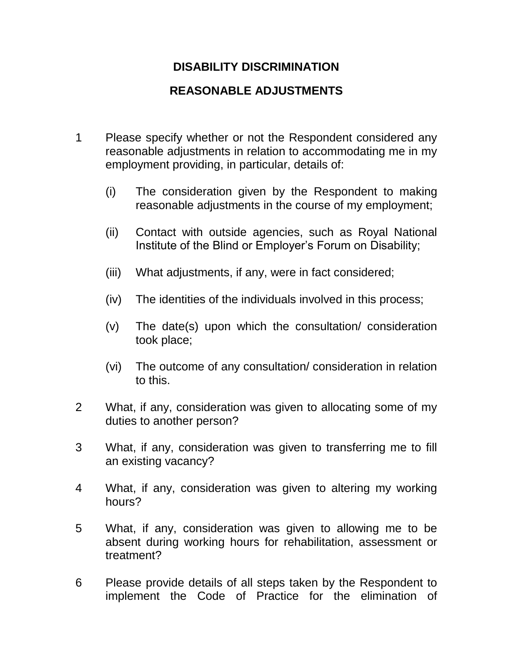## **DISABILITY DISCRIMINATION**

## **REASONABLE ADJUSTMENTS**

- 1 Please specify whether or not the Respondent considered any reasonable adjustments in relation to accommodating me in my employment providing, in particular, details of:
	- (i) The consideration given by the Respondent to making reasonable adjustments in the course of my employment;
	- (ii) Contact with outside agencies, such as Royal National Institute of the Blind or Employer's Forum on Disability;
	- (iii) What adjustments, if any, were in fact considered;
	- (iv) The identities of the individuals involved in this process;
	- (v) The date(s) upon which the consultation/ consideration took place;
	- (vi) The outcome of any consultation/ consideration in relation to this.
- 2 What, if any, consideration was given to allocating some of my duties to another person?
- 3 What, if any, consideration was given to transferring me to fill an existing vacancy?
- 4 What, if any, consideration was given to altering my working hours?
- 5 What, if any, consideration was given to allowing me to be absent during working hours for rehabilitation, assessment or treatment?
- 6 Please provide details of all steps taken by the Respondent to implement the Code of Practice for the elimination of